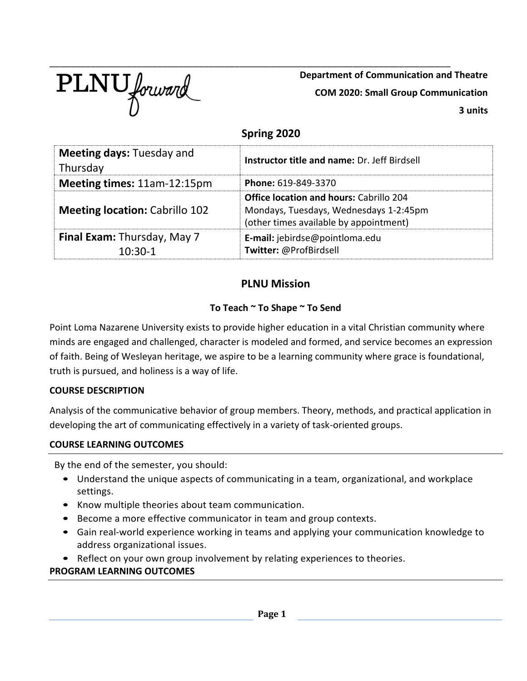

**Department of Communication and Theatre COM 2020: Small Group Communication 3 units**

# **Spring 2020**

| <b>Meeting days: Tuesday and</b><br>Thursday    | <b>Instructor title and name: Dr. Jeff Birdsell</b>                                                                                |
|-------------------------------------------------|------------------------------------------------------------------------------------------------------------------------------------|
| Meeting times: 11am-12:15pm                     | Phone: 619-849-3370                                                                                                                |
| <b>Meeting location: Cabrillo 102</b>           | <b>Office location and hours: Cabrillo 204</b><br>Mondays, Tuesdays, Wednesdays 1-2:45pm<br>(other times available by appointment) |
| <b>Final Exam: Thursday, May 7</b><br>$10:30-1$ | E-mail: jebirdse@pointloma.edu<br>Twitter: @ProfBirdsell                                                                           |

# **PLNU Mission**

# **To Teach ~ To Shape ~ To Send**

Point Loma Nazarene University exists to provide higher education in a vital Christian community where minds are engaged and challenged, character is modeled and formed, and service becomes an expression of faith. Being of Wesleyan heritage, we aspire to be a learning community where grace is foundational, truth is pursued, and holiness is a way of life.

## **COURSE DESCRIPTION**

Analysis of the communicative behavior of group members. Theory, methods, and practical application in developing the art of communicating effectively in a variety of task-oriented groups.

## **COURSE LEARNING OUTCOMES**

By the end of the semester, you should:

- Understand the unique aspects of communicating in a team, organizational, and workplace settings.
- Know multiple theories about team communication.
- Become a more effective communicator in team and group contexts.
- Gain real-world experience working in teams and applying your communication knowledge to address organizational issues.
- Reflect on your own group involvement by relating experiences to theories.

## **PROGRAM LEARNING OUTCOMES**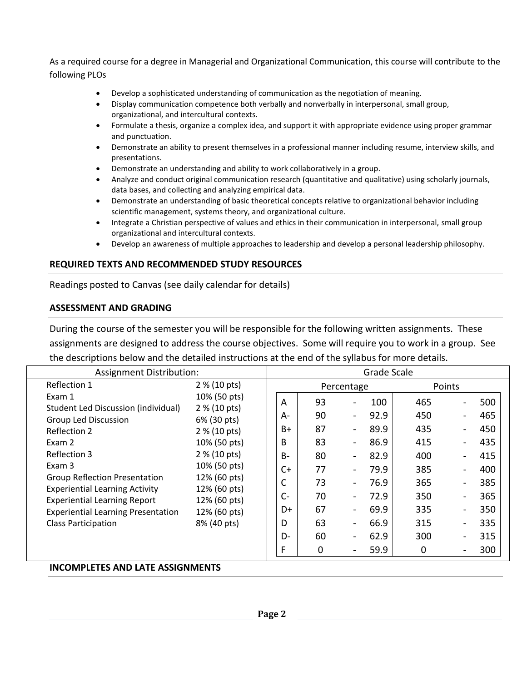As a required course for a degree in Managerial and Organizational Communication, this course will contribute to the following PLOs

- Develop a sophisticated understanding of communication as the negotiation of meaning.
- Display communication competence both verbally and nonverbally in interpersonal, small group, organizational, and intercultural contexts.
- Formulate a thesis, organize a complex idea, and support it with appropriate evidence using proper grammar and punctuation.
- Demonstrate an ability to present themselves in a professional manner including resume, interview skills, and presentations.
- Demonstrate an understanding and ability to work collaboratively in a group.
- Analyze and conduct original communication research (quantitative and qualitative) using scholarly journals, data bases, and collecting and analyzing empirical data.
- Demonstrate an understanding of basic theoretical concepts relative to organizational behavior including scientific management, systems theory, and organizational culture.
- Integrate a Christian perspective of values and ethics in their communication in interpersonal, small group organizational and intercultural contexts.
- Develop an awareness of multiple approaches to leadership and develop a personal leadership philosophy.

## **REQUIRED TEXTS AND RECOMMENDED STUDY RESOURCES**

Readings posted to Canvas (see daily calendar for details)

### **ASSESSMENT AND GRADING**

During the course of the semester you will be responsible for the following written assignments. These assignments are designed to address the course objectives. Some will require you to work in a group. See the descriptions below and the detailed instructions at the end of the syllabus for more details.

| Assignment Distribution:                                                                                                                                                                                          |                                                                                                                                             |                                        |                                        |                                                                                                                                                                        | Grade Scale                                         |                                               |                          |                                               |
|-------------------------------------------------------------------------------------------------------------------------------------------------------------------------------------------------------------------|---------------------------------------------------------------------------------------------------------------------------------------------|----------------------------------------|----------------------------------------|------------------------------------------------------------------------------------------------------------------------------------------------------------------------|-----------------------------------------------------|-----------------------------------------------|--------------------------|-----------------------------------------------|
| Reflection 1                                                                                                                                                                                                      | 2 % (10 pts)                                                                                                                                |                                        |                                        | Percentage                                                                                                                                                             |                                                     | Points                                        |                          |                                               |
| Exam 1<br>Student Led Discussion (individual)<br><b>Group Led Discussion</b><br>Reflection 2<br>Exam 2<br>Reflection 3<br>Exam 3<br><b>Group Reflection Presentation</b><br><b>Experiential Learning Activity</b> | 10% (50 pts)<br>2 % (10 pts)<br>6% (30 pts)<br>2 % (10 pts)<br>10% (50 pts)<br>2 % (10 pts)<br>10% (50 pts)<br>12% (60 pts)<br>12% (60 pts) | A<br>А-<br>B+<br>B<br>$B -$<br>C+<br>C | 93<br>90<br>87<br>83<br>80<br>77<br>73 | $\blacksquare$<br>$\blacksquare$<br>$\qquad \qquad \blacksquare$<br>$\overline{\phantom{a}}$<br>$\overline{\phantom{a}}$<br>$\blacksquare$<br>$\overline{\phantom{a}}$ | 100<br>92.9<br>89.9<br>86.9<br>82.9<br>79.9<br>76.9 | 465<br>450<br>435<br>415<br>400<br>385<br>365 |                          | 500<br>465<br>450<br>435<br>415<br>400<br>385 |
| <b>Experiential Learning Report</b>                                                                                                                                                                               | 12% (60 pts)                                                                                                                                | $C -$                                  | 70                                     | $\blacksquare$                                                                                                                                                         | 72.9                                                | 350                                           | $\overline{\phantom{a}}$ | 365                                           |
| <b>Experiential Learning Presentation</b>                                                                                                                                                                         | 12% (60 pts)                                                                                                                                | D+                                     | 67                                     | $\blacksquare$                                                                                                                                                         | 69.9                                                | 335                                           |                          | 350                                           |
| <b>Class Participation</b>                                                                                                                                                                                        | 8% (40 pts)                                                                                                                                 | D                                      | 63                                     | $\blacksquare$                                                                                                                                                         | 66.9                                                | 315                                           |                          | 335                                           |
|                                                                                                                                                                                                                   |                                                                                                                                             | D-                                     | 60                                     | $\blacksquare$                                                                                                                                                         | 62.9                                                | 300                                           |                          | 315                                           |
|                                                                                                                                                                                                                   |                                                                                                                                             | F                                      | 0                                      | $\overline{\phantom{a}}$                                                                                                                                               | 59.9                                                | 0                                             |                          | 300                                           |

#### **INCOMPLETES AND LATE ASSIGNMENTS**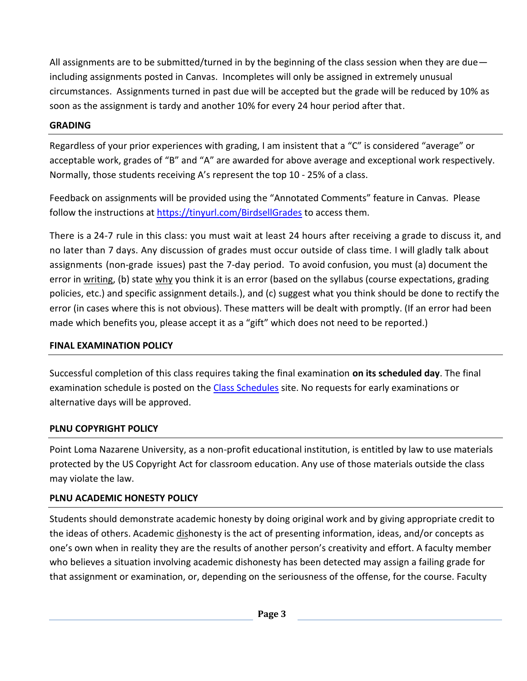All assignments are to be submitted/turned in by the beginning of the class session when they are due including assignments posted in Canvas. Incompletes will only be assigned in extremely unusual circumstances. Assignments turned in past due will be accepted but the grade will be reduced by 10% as soon as the assignment is tardy and another 10% for every 24 hour period after that.

## **GRADING**

Regardless of your prior experiences with grading, I am insistent that a "C" is considered "average" or acceptable work, grades of "B" and "A" are awarded for above average and exceptional work respectively. Normally, those students receiving A's represent the top 10 - 25% of a class.

Feedback on assignments will be provided using the "Annotated Comments" feature in Canvas. Please follow the instructions at<https://tinyurl.com/BirdsellGrades> to access them.

There is a 24-7 rule in this class: you must wait at least 24 hours after receiving a grade to discuss it, and no later than 7 days. Any discussion of grades must occur outside of class time. I will gladly talk about assignments (non-grade issues) past the 7-day period. To avoid confusion, you must (a) document the error in writing, (b) state why you think it is an error (based on the syllabus (course expectations, grading policies, etc.) and specific assignment details.), and (c) suggest what you think should be done to rectify the error (in cases where this is not obvious). These matters will be dealt with promptly. (If an error had been made which benefits you, please accept it as a "gift" which does not need to be reported.)

## **FINAL EXAMINATION POLICY**

Successful completion of this class requires taking the final examination **on its scheduled day**. The final examination schedule is posted on the [Class Schedules](http://www.pointloma.edu/experience/academics/class-schedules) site. No requests for early examinations or alternative days will be approved.

# **PLNU COPYRIGHT POLICY**

Point Loma Nazarene University, as a non-profit educational institution, is entitled by law to use materials protected by the US Copyright Act for classroom education. Any use of those materials outside the class may violate the law.

# **PLNU ACADEMIC HONESTY POLICY**

Students should demonstrate academic honesty by doing original work and by giving appropriate credit to the ideas of others. Academic dishonesty is the act of presenting information, ideas, and/or concepts as one's own when in reality they are the results of another person's creativity and effort. A faculty member who believes a situation involving academic dishonesty has been detected may assign a failing grade for that assignment or examination, or, depending on the seriousness of the offense, for the course. Faculty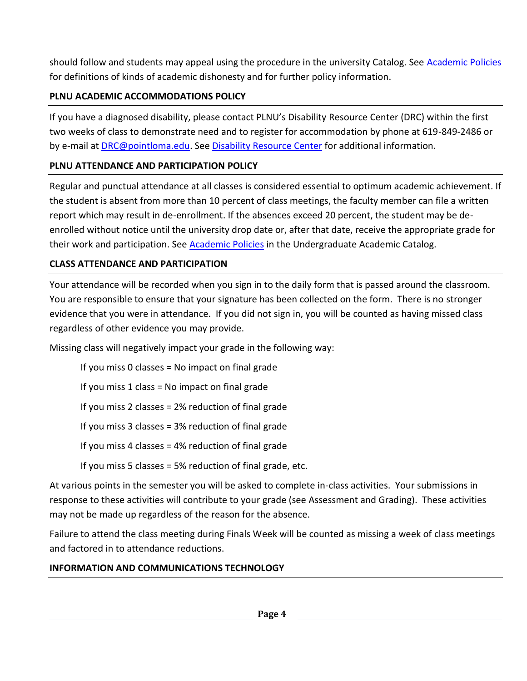should follow and students may appeal using the procedure in the university Catalog. See [Academic Policies](http://catalog.pointloma.edu/content.php?catoid=18&navoid=1278) for definitions of kinds of academic dishonesty and for further policy information.

# **PLNU ACADEMIC ACCOMMODATIONS POLICY**

If you have a diagnosed disability, please contact PLNU's Disability Resource Center (DRC) within the first two weeks of class to demonstrate need and to register for accommodation by phone at 619-849-2486 or by e-mail at **DRC@pointloma.edu.** See [Disability Resource Center](http://www.pointloma.edu/experience/offices/administrative-offices/academic-advising-office/disability-resource-center) for additional information.

# **PLNU ATTENDANCE AND PARTICIPATION POLICY**

Regular and punctual attendance at all classes is considered essential to optimum academic achievement. If the student is absent from more than 10 percent of class meetings, the faculty member can file a written report which may result in de-enrollment. If the absences exceed 20 percent, the student may be deenrolled without notice until the university drop date or, after that date, receive the appropriate grade for their work and participation. See [Academic Policies](http://catalog.pointloma.edu/content.php?catoid=18&navoid=1278) in the Undergraduate Academic Catalog.

# **CLASS ATTENDANCE AND PARTICIPATION**

Your attendance will be recorded when you sign in to the daily form that is passed around the classroom. You are responsible to ensure that your signature has been collected on the form. There is no stronger evidence that you were in attendance. If you did not sign in, you will be counted as having missed class regardless of other evidence you may provide.

Missing class will negatively impact your grade in the following way:

If you miss 0 classes = No impact on final grade If you miss 1 class = No impact on final grade If you miss 2 classes = 2% reduction of final grade If you miss 3 classes = 3% reduction of final grade If you miss 4 classes = 4% reduction of final grade If you miss 5 classes = 5% reduction of final grade, etc.

At various points in the semester you will be asked to complete in-class activities. Your submissions in response to these activities will contribute to your grade (see Assessment and Grading). These activities may not be made up regardless of the reason for the absence.

Failure to attend the class meeting during Finals Week will be counted as missing a week of class meetings and factored in to attendance reductions.

# **INFORMATION AND COMMUNICATIONS TECHNOLOGY**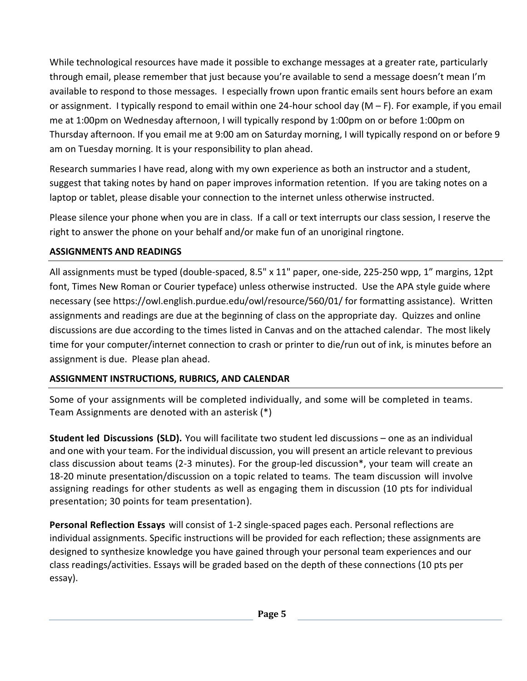While technological resources have made it possible to exchange messages at a greater rate, particularly through email, please remember that just because you're available to send a message doesn't mean I'm available to respond to those messages. I especially frown upon frantic emails sent hours before an exam or assignment. I typically respond to email within one 24-hour school day (M – F). For example, if you email me at 1:00pm on Wednesday afternoon, I will typically respond by 1:00pm on or before 1:00pm on Thursday afternoon. If you email me at 9:00 am on Saturday morning, I will typically respond on or before 9 am on Tuesday morning. It is your responsibility to plan ahead.

Research summaries I have read, along with my own experience as both an instructor and a student, suggest that taking notes by hand on paper improves information retention. If you are taking notes on a laptop or tablet, please disable your connection to the internet unless otherwise instructed.

Please silence your phone when you are in class. If a call or text interrupts our class session, I reserve the right to answer the phone on your behalf and/or make fun of an unoriginal ringtone.

# **ASSIGNMENTS AND READINGS**

All assignments must be typed (double-spaced, 8.5" x 11" paper, one-side, 225-250 wpp, 1" margins, 12pt font, Times New Roman or Courier typeface) unless otherwise instructed. Use the APA style guide where necessary (see https://owl.english.purdue.edu/owl/resource/560/01/ for formatting assistance). Written assignments and readings are due at the beginning of class on the appropriate day. Quizzes and online discussions are due according to the times listed in Canvas and on the attached calendar. The most likely time for your computer/internet connection to crash or printer to die/run out of ink, is minutes before an assignment is due. Please plan ahead.

# **ASSIGNMENT INSTRUCTIONS, RUBRICS, AND CALENDAR**

Some of your assignments will be completed individually, and some will be completed in teams. Team Assignments are denoted with an asterisk (\*)

**Student led Discussions (SLD).** You will facilitate two student led discussions – one as an individual and one with your team. For the individual discussion, you will present an article relevant to previous class discussion about teams (2-3 minutes). For the group-led discussion\*, your team will create an 18-20 minute presentation/discussion on a topic related to teams. The team discussion will involve assigning readings for other students as well as engaging them in discussion (10 pts for individual presentation; 30 points for team presentation).

**Personal Reflection Essays** will consist of 1-2 single-spaced pages each. Personal reflections are individual assignments. Specific instructions will be provided for each reflection; these assignments are designed to synthesize knowledge you have gained through your personal team experiences and our class readings/activities. Essays will be graded based on the depth of these connections (10 pts per essay).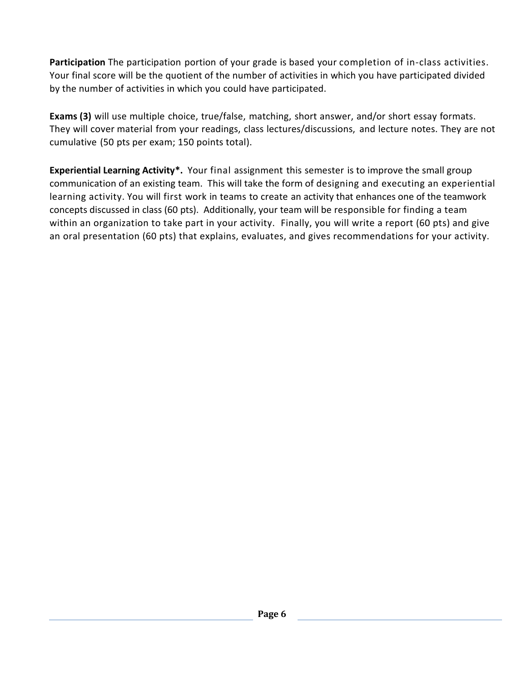**Participation** The participation portion of your grade is based your completion of in-class activities. Your final score will be the quotient of the number of activities in which you have participated divided by the number of activities in which you could have participated.

**Exams (3)** will use multiple choice, true/false, matching, short answer, and/or short essay formats. They will cover material from your readings, class lectures/discussions, and lecture notes. They are not cumulative (50 pts per exam; 150 points total).

**Experiential Learning Activity\*.** Your final assignment this semester is to improve the small group communication of an existing team. This will take the form of designing and executing an experiential learning activity. You will first work in teams to create an activity that enhances one of the teamwork concepts discussed in class (60 pts). Additionally, your team will be responsible for finding a team within an organization to take part in your activity. Finally, you will write a report (60 pts) and give an oral presentation (60 pts) that explains, evaluates, and gives recommendations for your activity.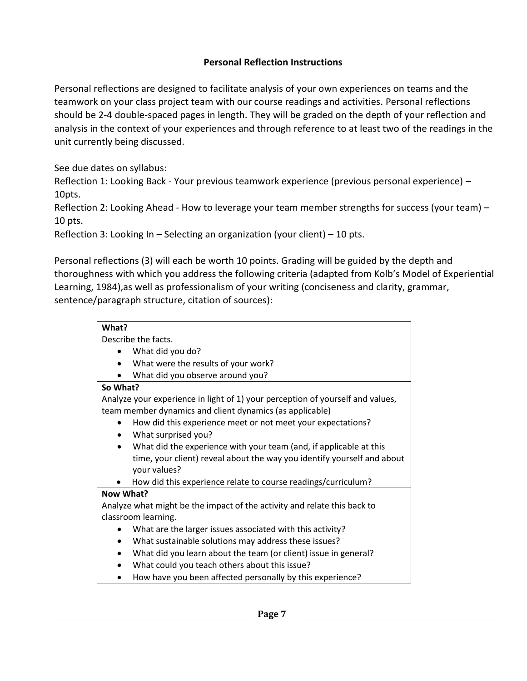# **Personal Reflection Instructions**

Personal reflections are designed to facilitate analysis of your own experiences on teams and the teamwork on your class project team with our course readings and activities. Personal reflections should be 2-4 double-spaced pages in length. They will be graded on the depth of your reflection and analysis in the context of your experiences and through reference to at least two of the readings in the unit currently being discussed.

See due dates on syllabus:

Reflection 1: Looking Back - Your previous teamwork experience (previous personal experience) – 10pts.

Reflection 2: Looking Ahead - How to leverage your team member strengths for success (your team) -10 pts.

Reflection 3: Looking In – Selecting an organization (your client) – 10 pts.

Personal reflections (3) will each be worth 10 points. Grading will be guided by the depth and thoroughness with which you address the following criteria (adapted from Kolb's Model of Experiential Learning, 1984),as well as professionalism of your writing (conciseness and clarity, grammar, sentence/paragraph structure, citation of sources):

| What?                                                                           |
|---------------------------------------------------------------------------------|
| Describe the facts.                                                             |
| What did you do?                                                                |
| What were the results of your work?<br>$\bullet$                                |
| What did you observe around you?                                                |
| So What?                                                                        |
| Analyze your experience in light of 1) your perception of yourself and values,  |
| team member dynamics and client dynamics (as applicable)                        |
| How did this experience meet or not meet your expectations?                     |
| What surprised you?<br>$\bullet$                                                |
| What did the experience with your team (and, if applicable at this<br>$\bullet$ |
| time, your client) reveal about the way you identify yourself and about         |
| your values?                                                                    |
| How did this experience relate to course readings/curriculum?                   |
| Now What?                                                                       |
| Analyze what might be the impact of the activity and relate this back to        |
| classroom learning.                                                             |
| What are the larger issues associated with this activity?                       |
| What sustainable solutions may address these issues?<br>$\bullet$               |
| What did you learn about the team (or client) issue in general?<br>$\bullet$    |
| What could you teach others about this issue?                                   |
| How have you been affected personally by this experience?                       |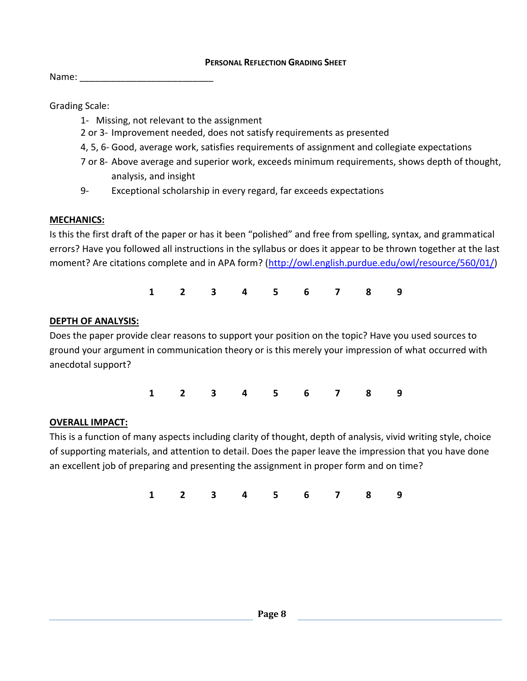#### **PERSONAL REFLECTION GRADING SHEET**

Name:

Grading Scale:

- 1- Missing, not relevant to the assignment
- 2 or 3- Improvement needed, does not satisfy requirements as presented
- 4, 5, 6- Good, average work, satisfies requirements of assignment and collegiate expectations
- 7 or 8- Above average and superior work, exceeds minimum requirements, shows depth of thought, analysis, and insight
- 9- Exceptional scholarship in every regard, far exceeds expectations

## **MECHANICS:**

Is this the first draft of the paper or has it been "polished" and free from spelling, syntax, and grammatical errors? Have you followed all instructions in the syllabus or does it appear to be thrown together at the last moment? Are citations complete and in APA form? [\(http://owl.english.purdue.edu/owl/resource/560/01/\)](http://owl.english.purdue.edu/owl/resource/560/01/)

**1 2 3 4 5 6 7 8 9**

## **DEPTH OF ANALYSIS:**

Does the paper provide clear reasons to support your position on the topic? Have you used sources to ground your argument in communication theory or is this merely your impression of what occurred with anecdotal support?

**1 2 3 4 5 6 7 8 9**

## **OVERALL IMPACT:**

This is a function of many aspects including clarity of thought, depth of analysis, vivid writing style, choice of supporting materials, and attention to detail. Does the paper leave the impression that you have done an excellent job of preparing and presenting the assignment in proper form and on time?

**1 2 3 4 5 6 7 8 9**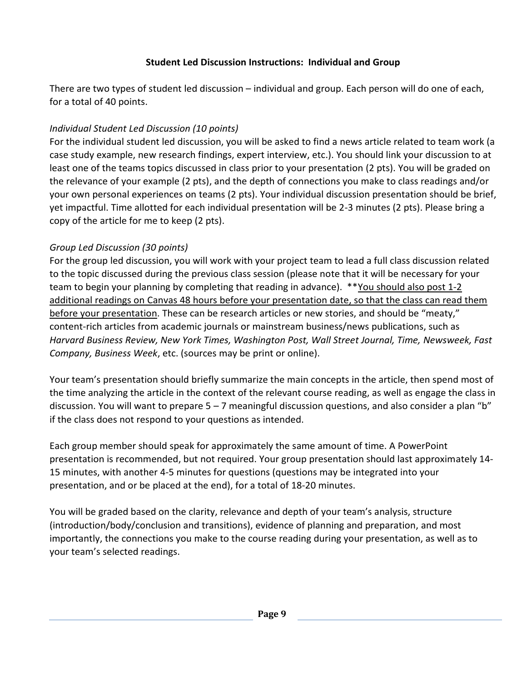# **Student Led Discussion Instructions: Individual and Group**

There are two types of student led discussion – individual and group. Each person will do one of each, for a total of 40 points.

# *Individual Student Led Discussion (10 points)*

For the individual student led discussion, you will be asked to find a news article related to team work (a case study example, new research findings, expert interview, etc.). You should link your discussion to at least one of the teams topics discussed in class prior to your presentation (2 pts). You will be graded on the relevance of your example (2 pts), and the depth of connections you make to class readings and/or your own personal experiences on teams (2 pts). Your individual discussion presentation should be brief, yet impactful. Time allotted for each individual presentation will be 2-3 minutes (2 pts). Please bring a copy of the article for me to keep (2 pts).

# *Group Led Discussion (30 points)*

For the group led discussion, you will work with your project team to lead a full class discussion related to the topic discussed during the previous class session (please note that it will be necessary for your team to begin your planning by completing that reading in advance). \*\*You should also post 1-2 additional readings on Canvas 48 hours before your presentation date, so that the class can read them before your presentation. These can be research articles or new stories, and should be "meaty," content-rich articles from academic journals or mainstream business/news publications, such as *Harvard Business Review, New York Times, Washington Post, Wall Street Journal, Time, Newsweek, Fast Company, Business Week*, etc. (sources may be print or online).

Your team's presentation should briefly summarize the main concepts in the article, then spend most of the time analyzing the article in the context of the relevant course reading, as well as engage the class in discussion. You will want to prepare 5 – 7 meaningful discussion questions, and also consider a plan "b" if the class does not respond to your questions as intended.

Each group member should speak for approximately the same amount of time. A PowerPoint presentation is recommended, but not required. Your group presentation should last approximately 14- 15 minutes, with another 4-5 minutes for questions (questions may be integrated into your presentation, and or be placed at the end), for a total of 18-20 minutes.

You will be graded based on the clarity, relevance and depth of your team's analysis, structure (introduction/body/conclusion and transitions), evidence of planning and preparation, and most importantly, the connections you make to the course reading during your presentation, as well as to your team's selected readings.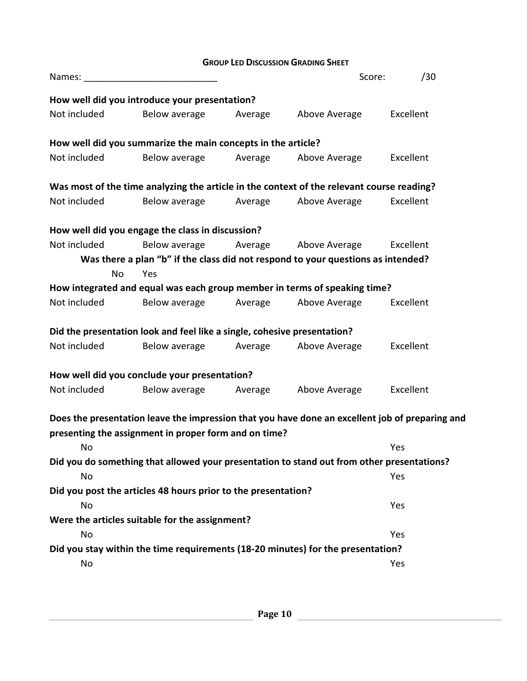|              |                                                                          |         | <b>GROUP LED DISCUSSION GRADING SHEET</b>                                                       |           |
|--------------|--------------------------------------------------------------------------|---------|-------------------------------------------------------------------------------------------------|-----------|
| Names:       |                                                                          |         | Score:                                                                                          | /30       |
|              | How well did you introduce your presentation?                            |         |                                                                                                 |           |
| Not included | Below average                                                            | Average | Above Average                                                                                   | Excellent |
|              | How well did you summarize the main concepts in the article?             |         |                                                                                                 |           |
| Not included | Below average                                                            | Average | Above Average                                                                                   | Excellent |
|              |                                                                          |         | Was most of the time analyzing the article in the context of the relevant course reading?       |           |
| Not included | Below average                                                            | Average | Above Average                                                                                   | Excellent |
|              | How well did you engage the class in discussion?                         |         |                                                                                                 |           |
| Not included | Below average                                                            |         | Average Above Average                                                                           | Excellent |
|              |                                                                          |         | Was there a plan "b" if the class did not respond to your questions as intended?                |           |
| No           | Yes                                                                      |         |                                                                                                 |           |
|              |                                                                          |         | How integrated and equal was each group member in terms of speaking time?                       |           |
| Not included | Below average                                                            | Average | Above Average                                                                                   | Excellent |
|              | Did the presentation look and feel like a single, cohesive presentation? |         |                                                                                                 |           |
| Not included | Below average                                                            | Average | Above Average                                                                                   | Excellent |
|              | How well did you conclude your presentation?                             |         |                                                                                                 |           |
| Not included | Below average                                                            | Average | Above Average                                                                                   | Excellent |
|              |                                                                          |         | Does the presentation leave the impression that you have done an excellent job of preparing and |           |
|              | presenting the assignment in proper form and on time?                    |         |                                                                                                 |           |
| No           |                                                                          |         |                                                                                                 | Yes       |
|              |                                                                          |         | Did you do something that allowed your presentation to stand out from other presentations?      |           |
| No           |                                                                          |         |                                                                                                 | Yes       |
|              | Did you post the articles 48 hours prior to the presentation?            |         |                                                                                                 |           |
| No           |                                                                          |         |                                                                                                 | Yes       |
|              | Were the articles suitable for the assignment?                           |         |                                                                                                 |           |
| No           |                                                                          |         |                                                                                                 | Yes       |
|              |                                                                          |         | Did you stay within the time requirements (18-20 minutes) for the presentation?                 |           |
| No           |                                                                          |         |                                                                                                 | Yes       |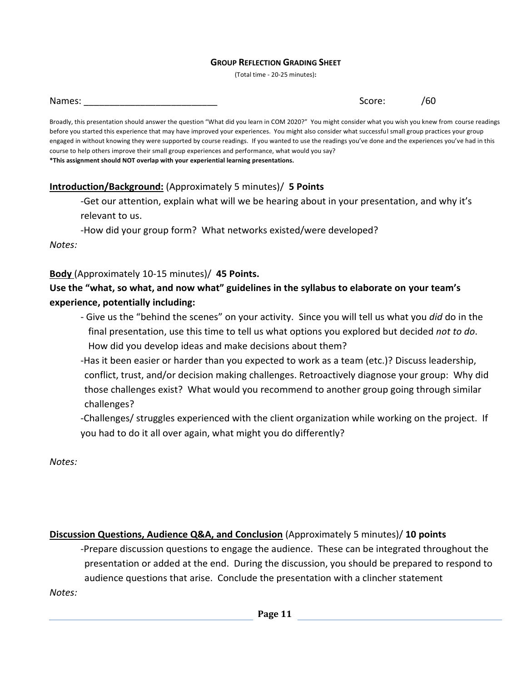#### **GROUP REFLECTION GRADING SHEET**

(Total time - 20-25 minutes)**:**

| Names: | $ -$<br>31. J J J<br>∼ |  |
|--------|------------------------|--|
|--------|------------------------|--|

Broadly, this presentation should answer the question "What did you learn in COM 2020?" You might consider what you wish you knew from course readings before you started this experience that may have improved your experiences. You might also consider what successful small group practices your group engaged in without knowing they were supported by course readings. If you wanted to use the readings you've done and the experiences you've had in this course to help others improve their small group experiences and performance, what would you say? **\*This assignment should NOT overlap with your experiential learning presentations.**

## **Introduction/Background:** (Approximately 5 minutes)/ **5 Points**

-Get our attention, explain what will we be hearing about in your presentation, and why it's relevant to us.

-How did your group form? What networks existed/were developed?

*Notes:*

**Body** (Approximately 10-15 minutes)/ **45 Points.**

# **Use the "what, so what, and now what" guidelines in the syllabus to elaborate on your team's experience, potentially including:**

- Give us the "behind the scenes" on your activity. Since you will tell us what you *did* do in the final presentation, use this time to tell us what options you explored but decided *not to do*. How did you develop ideas and make decisions about them?
- -Has it been easier or harder than you expected to work as a team (etc.)? Discuss leadership, conflict, trust, and/or decision making challenges. Retroactively diagnose your group: Why did those challenges exist? What would you recommend to another group going through similar challenges?

-Challenges/ struggles experienced with the client organization while working on the project. If you had to do it all over again, what might you do differently?

*Notes:*

**Discussion Questions, Audience Q&A, and Conclusion** (Approximately 5 minutes)/ **10 points**

-Prepare discussion questions to engage the audience. These can be integrated throughout the presentation or added at the end. During the discussion, you should be prepared to respond to audience questions that arise. Conclude the presentation with a clincher statement

*Notes:*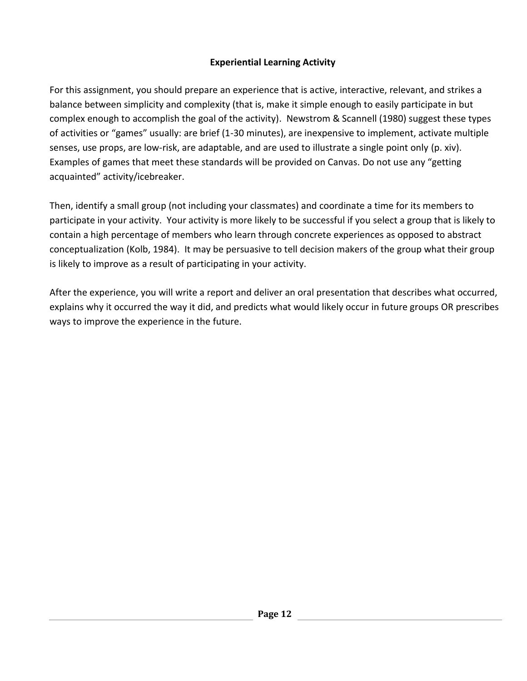# **Experiential Learning Activity**

For this assignment, you should prepare an experience that is active, interactive, relevant, and strikes a balance between simplicity and complexity (that is, make it simple enough to easily participate in but complex enough to accomplish the goal of the activity). Newstrom & Scannell (1980) suggest these types of activities or "games" usually: are brief (1-30 minutes), are inexpensive to implement, activate multiple senses, use props, are low-risk, are adaptable, and are used to illustrate a single point only (p. xiv). Examples of games that meet these standards will be provided on Canvas. Do not use any "getting acquainted" activity/icebreaker.

Then, identify a small group (not including your classmates) and coordinate a time for its members to participate in your activity. Your activity is more likely to be successful if you select a group that is likely to contain a high percentage of members who learn through concrete experiences as opposed to abstract conceptualization (Kolb, 1984). It may be persuasive to tell decision makers of the group what their group is likely to improve as a result of participating in your activity.

After the experience, you will write a report and deliver an oral presentation that describes what occurred, explains why it occurred the way it did, and predicts what would likely occur in future groups OR prescribes ways to improve the experience in the future.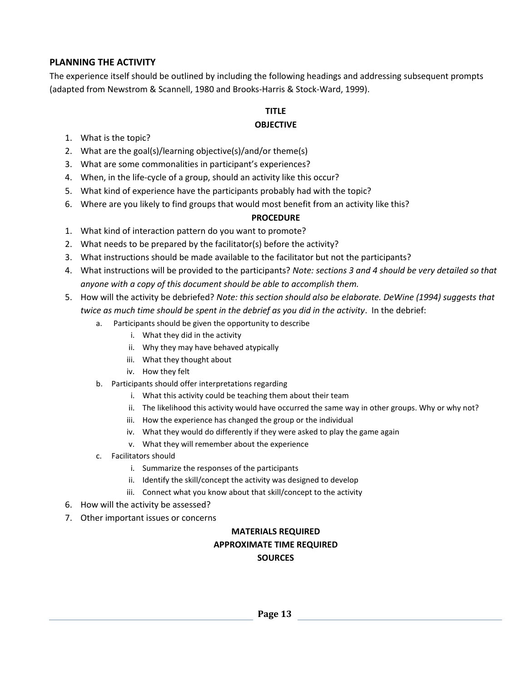### **PLANNING THE ACTIVITY**

The experience itself should be outlined by including the following headings and addressing subsequent prompts (adapted from Newstrom & Scannell, 1980 and Brooks-Harris & Stock-Ward, 1999).

# **TITLE**

### **OBJECTIVE**

- 1. What is the topic?
- 2. What are the goal(s)/learning objective(s)/and/or theme(s)
- 3. What are some commonalities in participant's experiences?
- 4. When, in the life-cycle of a group, should an activity like this occur?
- 5. What kind of experience have the participants probably had with the topic?
- 6. Where are you likely to find groups that would most benefit from an activity like this?

#### **PROCEDURE**

- 1. What kind of interaction pattern do you want to promote?
- 2. What needs to be prepared by the facilitator(s) before the activity?
- 3. What instructions should be made available to the facilitator but not the participants?
- 4. What instructions will be provided to the participants? *Note: sections 3 and 4 should be very detailed so that anyone with a copy of this document should be able to accomplish them.*
- 5. How will the activity be debriefed? *Note: this section should also be elaborate. DeWine (1994) suggests that twice as much time should be spent in the debrief as you did in the activity*. In the debrief:
	- a. Participants should be given the opportunity to describe
		- i. What they did in the activity
		- ii. Why they may have behaved atypically
		- iii. What they thought about
		- iv. How they felt
	- b. Participants should offer interpretations regarding
		- i. What this activity could be teaching them about their team
		- ii. The likelihood this activity would have occurred the same way in other groups. Why or why not?
		- iii. How the experience has changed the group or the individual
		- iv. What they would do differently if they were asked to play the game again
		- v. What they will remember about the experience
	- c. Facilitators should
		- i. Summarize the responses of the participants
		- ii. Identify the skill/concept the activity was designed to develop
		- iii. Connect what you know about that skill/concept to the activity
- 6. How will the activity be assessed?
- 7. Other important issues or concerns

## **MATERIALS REQUIRED APPROXIMATE TIME REQUIRED SOURCES**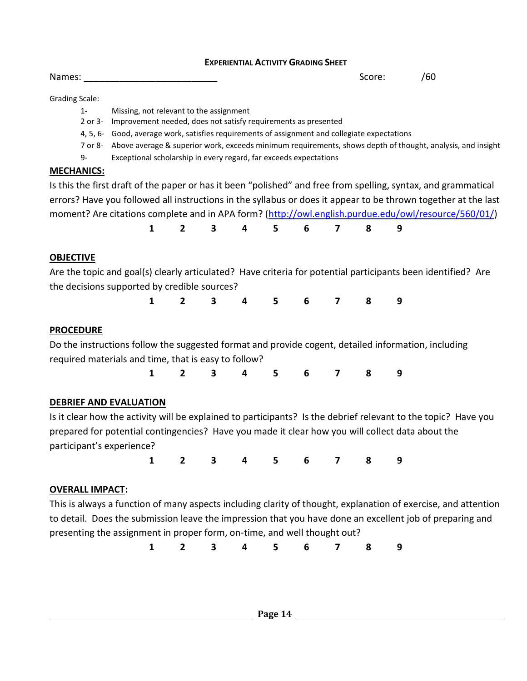#### **EXPERIENTIAL ACTIVITY GRADING SHEET**

Names: \_\_\_\_\_\_\_\_\_\_\_\_\_\_\_\_\_\_\_\_\_\_\_\_\_\_ Score: /60

Grading Scale:

- 1- Missing, not relevant to the assignment
- 2 or 3- Improvement needed, does not satisfy requirements as presented
- 4, 5, 6- Good, average work, satisfies requirements of assignment and collegiate expectations
- 7 or 8- Above average & superior work, exceeds minimum requirements, shows depth of thought, analysis, and insight
- 9- Exceptional scholarship in every regard, far exceeds expectations

#### **MECHANICS:**

Is this the first draft of the paper or has it been "polished" and free from spelling, syntax, and grammatical errors? Have you followed all instructions in the syllabus or does it appear to be thrown together at the last moment? Are citations complete and in APA form? [\(http://owl.english.purdue.edu/owl/resource/560/01/\)](http://owl.english.purdue.edu/owl/resource/560/01/)

| 1 2 3 4 5 6 7 8 9 |  |
|-------------------|--|
|-------------------|--|

## **OBJECTIVE**

Are the topic and goal(s) clearly articulated? Have criteria for potential participants been identified? Are the decisions supported by credible sources?

**1 2 3 4 5 6 7 8 9**

## **PROCEDURE**

Do the instructions follow the suggested format and provide cogent, detailed information, including required materials and time, that is easy to follow?

**1 2 3 4 5 6 7 8 9**

## **DEBRIEF AND EVALUATION**

Is it clear how the activity will be explained to participants? Is the debrief relevant to the topic? Have you prepared for potential contingencies? Have you made it clear how you will collect data about the participant's experience?

**1 2 3 4 5 6 7 8 9**

## **OVERALL IMPACT:**

This is always a function of many aspects including clarity of thought, explanation of exercise, and attention to detail. Does the submission leave the impression that you have done an excellent job of preparing and presenting the assignment in proper form, on-time, and well thought out?

**1 2 3 4 5 6 7 8 9**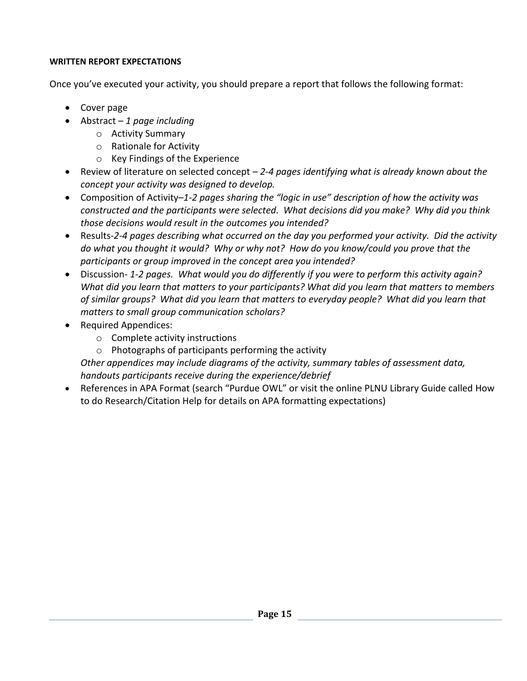## **WRITTEN REPORT EXPECTATIONS**

Once you've executed your activity, you should prepare a report that follows the following format:

- Cover page
- Abstract *1 page including*
	- o Activity Summary
	- o Rationale for Activity
	- o Key Findings of the Experience
- Review of literature on selected concept *2-4 pages identifying what is already known about the concept your activity was designed to develop.*
- Composition of Activity–*1-2 pages sharing the "logic in use" description of how the activity was constructed and the participants were selected. What decisions did you make? Why did you think those decisions would result in the outcomes you intended?*
- Results-*2-4 pages describing what occurred on the day you performed your activity. Did the activity do what you thought it would? Why or why not? How do you know/could you prove that the participants or group improved in the concept area you intended?*
- Discussion- *1-2 pages. What would you do differently if you were to perform this activity again? What did you learn that matters to your participants? What did you learn that matters to members of similar groups? What did you learn that matters to everyday people? What did you learn that matters to small group communication scholars?*
- Required Appendices:
	- o Complete activity instructions
	- o Photographs of participants performing the activity

*Other appendices may include diagrams of the activity, summary tables of assessment data, handouts participants receive during the experience/debrief*

 References in APA Format (search "Purdue OWL" or visit the online PLNU Library Guide called How to do Research/Citation Help for details on APA formatting expectations)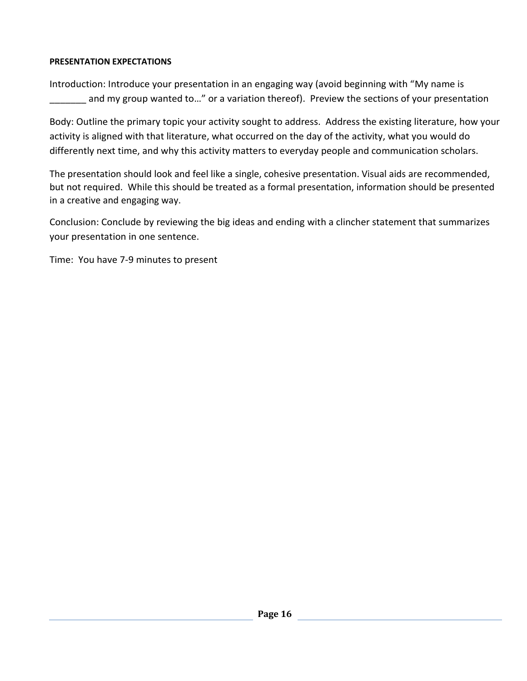## **PRESENTATION EXPECTATIONS**

Introduction: Introduce your presentation in an engaging way (avoid beginning with "My name is and my group wanted to..." or a variation thereof). Preview the sections of your presentation

Body: Outline the primary topic your activity sought to address. Address the existing literature, how your activity is aligned with that literature, what occurred on the day of the activity, what you would do differently next time, and why this activity matters to everyday people and communication scholars.

The presentation should look and feel like a single, cohesive presentation. Visual aids are recommended, but not required. While this should be treated as a formal presentation, information should be presented in a creative and engaging way.

Conclusion: Conclude by reviewing the big ideas and ending with a clincher statement that summarizes your presentation in one sentence.

Time: You have 7-9 minutes to present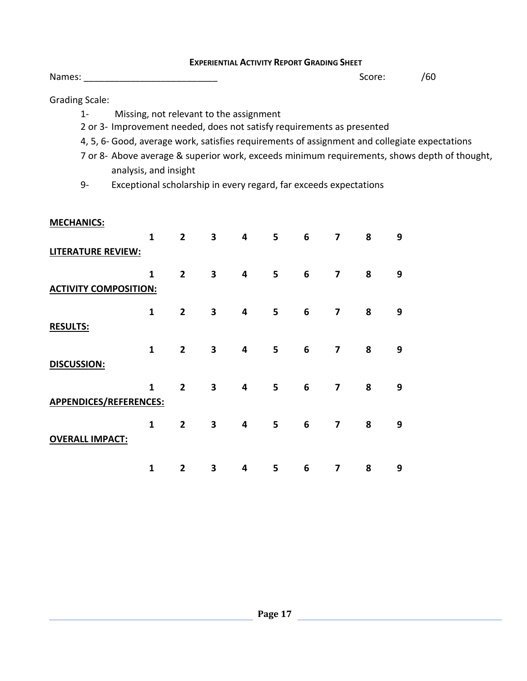#### **EXPERIENTIAL ACTIVITY REPORT GRADING SHEET**

Names: \_\_\_\_\_\_\_\_\_\_\_\_\_\_\_\_\_\_\_\_\_\_\_\_\_\_ Score: /60

Grading Scale:

- 1- Missing, not relevant to the assignment
- 2 or 3- Improvement needed, does not satisfy requirements as presented
- 4, 5, 6- Good, average work, satisfies requirements of assignment and collegiate expectations
- 7 or 8- Above average & superior work, exceeds minimum requirements, shows depth of thought, analysis, and insight
- 9- Exceptional scholarship in every regard, far exceeds expectations

#### **MECHANICS:**

| $\mathbf{1}$                 | $\overline{2}$ | 3 | 4 | 5 | 6 | 7                       | 8 | 9 |
|------------------------------|----------------|---|---|---|---|-------------------------|---|---|
| LITERATURE REVIEW:           |                |   |   |   |   |                         |   |   |
| $\mathbf{1}$                 | $\overline{2}$ | 3 | 4 | 5 | 6 | $\overline{\mathbf{z}}$ | 8 | 9 |
| <b>ACTIVITY COMPOSITION:</b> |                |   |   |   |   |                         |   |   |
| $\mathbf{1}$                 | $\overline{2}$ | 3 | 4 | 5 | 6 | $\overline{\mathbf{z}}$ | 8 | 9 |
|                              |                |   |   |   |   |                         |   |   |
| $\mathbf{1}$                 | $\overline{2}$ | 3 | 4 | 5 | 6 | $\overline{\mathbf{z}}$ | 8 | 9 |
|                              |                |   |   |   |   |                         |   |   |
| $\mathbf{1}$                 | $\overline{2}$ | 3 | 4 | 5 | 6 | 7                       | 8 | 9 |
| APPENDICES/REFERENCES:       |                |   |   |   |   |                         |   |   |
| $\mathbf{1}$                 | $\overline{2}$ | 3 | 4 | 5 | 6 | 7                       | 8 | 9 |
|                              |                |   |   |   |   |                         |   |   |
| $\mathbf{1}$                 | $\overline{2}$ | 3 | 4 | 5 | 6 | 7                       | 8 | 9 |
|                              |                |   |   |   |   |                         |   |   |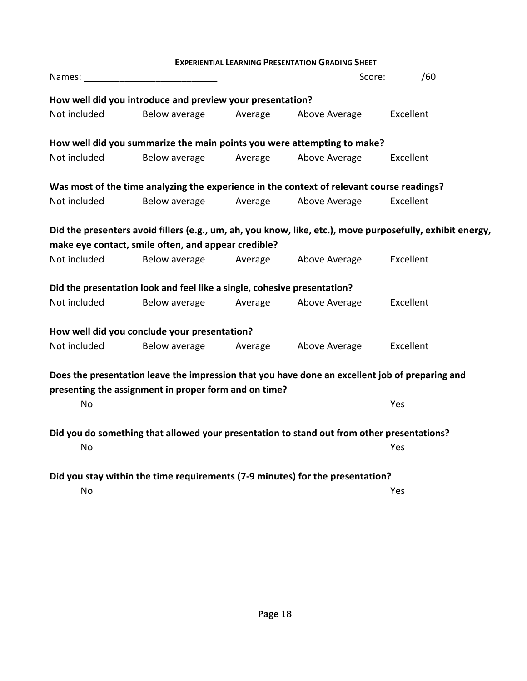| <b>EXPERIENTIAL LEARNING PRESENTATION GRADING SHEET</b>                                                                                                  |                                                                                           |         |               |                                                                                                           |  |  |  |
|----------------------------------------------------------------------------------------------------------------------------------------------------------|-------------------------------------------------------------------------------------------|---------|---------------|-----------------------------------------------------------------------------------------------------------|--|--|--|
| Names:                                                                                                                                                   |                                                                                           |         | Score:        | /60                                                                                                       |  |  |  |
| How well did you introduce and preview your presentation?                                                                                                |                                                                                           |         |               |                                                                                                           |  |  |  |
| Not included                                                                                                                                             | Below average                                                                             | Average | Above Average | Excellent                                                                                                 |  |  |  |
|                                                                                                                                                          | How well did you summarize the main points you were attempting to make?                   |         |               |                                                                                                           |  |  |  |
| Not included                                                                                                                                             | Below average                                                                             | Average | Above Average | Excellent                                                                                                 |  |  |  |
|                                                                                                                                                          | Was most of the time analyzing the experience in the context of relevant course readings? |         |               |                                                                                                           |  |  |  |
| Not included                                                                                                                                             | Below average                                                                             | Average | Above Average | Excellent                                                                                                 |  |  |  |
|                                                                                                                                                          |                                                                                           |         |               | Did the presenters avoid fillers (e.g., um, ah, you know, like, etc.), move purposefully, exhibit energy, |  |  |  |
|                                                                                                                                                          | make eye contact, smile often, and appear credible?                                       |         |               |                                                                                                           |  |  |  |
| Not included                                                                                                                                             | Below average                                                                             | Average | Above Average | Excellent                                                                                                 |  |  |  |
|                                                                                                                                                          | Did the presentation look and feel like a single, cohesive presentation?                  |         |               |                                                                                                           |  |  |  |
| Not included                                                                                                                                             | Below average                                                                             | Average | Above Average | Excellent                                                                                                 |  |  |  |
|                                                                                                                                                          | How well did you conclude your presentation?                                              |         |               |                                                                                                           |  |  |  |
| Not included                                                                                                                                             | Below average                                                                             | Average | Above Average | Excellent                                                                                                 |  |  |  |
| Does the presentation leave the impression that you have done an excellent job of preparing and<br>presenting the assignment in proper form and on time? |                                                                                           |         |               |                                                                                                           |  |  |  |
| No                                                                                                                                                       |                                                                                           |         |               | Yes                                                                                                       |  |  |  |
| Did you do something that allowed your presentation to stand out from other presentations?                                                               |                                                                                           |         |               |                                                                                                           |  |  |  |
| No                                                                                                                                                       |                                                                                           |         |               | Yes                                                                                                       |  |  |  |
| Did you stay within the time requirements (7-9 minutes) for the presentation?                                                                            |                                                                                           |         |               |                                                                                                           |  |  |  |
| No                                                                                                                                                       |                                                                                           |         |               | Yes                                                                                                       |  |  |  |
|                                                                                                                                                          |                                                                                           |         |               |                                                                                                           |  |  |  |